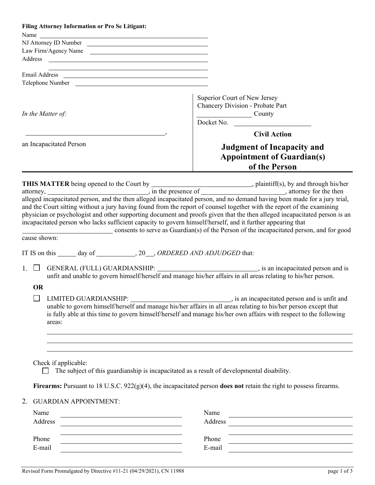| <b>Filing Attorney Information or Pro Se Litigant:</b>                                                                |                                                                                                                               |
|-----------------------------------------------------------------------------------------------------------------------|-------------------------------------------------------------------------------------------------------------------------------|
|                                                                                                                       |                                                                                                                               |
| Law Firm/Agency Name                                                                                                  |                                                                                                                               |
|                                                                                                                       |                                                                                                                               |
| <u> 1989 - Johann Barn, mars and de Branch Barn, mars and de Branch Barn, mars and de Branch Barn, mars and de Br</u> |                                                                                                                               |
|                                                                                                                       |                                                                                                                               |
|                                                                                                                       |                                                                                                                               |
|                                                                                                                       | Superior Court of New Jersey<br>Chancery Division - Probate Part                                                              |
| In the Matter of:                                                                                                     | County                                                                                                                        |
|                                                                                                                       | $\overline{\text{Docket No.}}$                                                                                                |
|                                                                                                                       | <b>Civil Action</b>                                                                                                           |
| an Incapacitated Person                                                                                               | <b>Judgment of Incapacity and</b>                                                                                             |
|                                                                                                                       | <b>Appointment of Guardian(s)</b>                                                                                             |
|                                                                                                                       | of the Person                                                                                                                 |
|                                                                                                                       |                                                                                                                               |
|                                                                                                                       |                                                                                                                               |
|                                                                                                                       |                                                                                                                               |
|                                                                                                                       | and the Court sitting without a jury having found from the report of counsel together with the report of the examining        |
|                                                                                                                       | physician or psychologist and other supporting document and proofs given that the then alleged incapacitated person is an     |
|                                                                                                                       | incapacitated person who lacks sufficient capacity to govern himself/herself, and it further appearing that                   |
|                                                                                                                       | consents to serve as Guardian(s) of the Person of the incapacitated person, and for good                                      |
| cause shown:                                                                                                          |                                                                                                                               |
| IT IS on this ______ day of _____________, 20___, ORDERED AND ADJUDGED that:                                          |                                                                                                                               |
|                                                                                                                       |                                                                                                                               |
|                                                                                                                       | unfit and unable to govern himself/herself and manage his/her affairs in all areas relating to his/her person.                |
| <b>OR</b>                                                                                                             |                                                                                                                               |
| $\Box$ LIMITED GUARDIANSHIP:                                                                                          | is an incapacitated person and is unfit and                                                                                   |
|                                                                                                                       | unable to govern himself/herself and manage his/her affairs in all areas relating to his/her person except that               |
|                                                                                                                       | is fully able at this time to govern himself/herself and manage his/her own affairs with respect to the following             |
| areas:                                                                                                                |                                                                                                                               |
|                                                                                                                       |                                                                                                                               |
|                                                                                                                       |                                                                                                                               |
|                                                                                                                       |                                                                                                                               |
| Check if applicable:                                                                                                  | The subject of this guardianship is incapacitated as a result of developmental disability.                                    |
|                                                                                                                       |                                                                                                                               |
|                                                                                                                       | Firearms: Pursuant to 18 U.S.C. $922(g)(4)$ , the incapacitated person does not retain the right to possess firearms.         |
|                                                                                                                       |                                                                                                                               |
| <b>GUARDIAN APPOINTMENT:</b><br>2.                                                                                    |                                                                                                                               |
| Name                                                                                                                  | Name                                                                                                                          |
| Address                                                                                                               | Address                                                                                                                       |
| Phone                                                                                                                 | <u> 1989 - Johann Stein, mars an t-Amerikaansk ferskeizh en de skriuwer en deze en deze en deze en deze en deze </u><br>Phone |
| E-mail                                                                                                                | <u> 1989 - Johann Barbara, martin amerikan basar da</u><br>E-mail                                                             |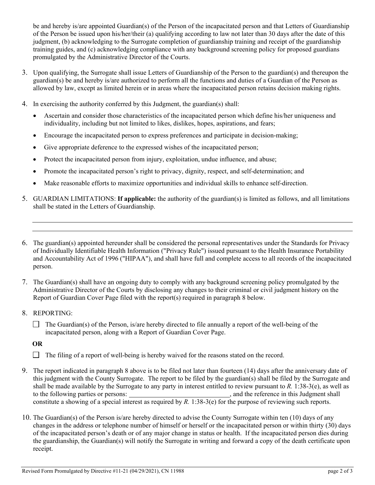be and hereby is/are appointed Guardian(s) of the Person of the incapacitated person and that Letters of Guardianship of the Person be issued upon his/her/their (a) qualifying according to law not later than 30 days after the date of this judgment, (b) acknowledging to the Surrogate completion of guardianship training and receipt of the guardianship training guides, and (c) acknowledging compliance with any background screening policy for proposed guardians promulgated by the Administrative Director of the Courts.

- 3. Upon qualifying, the Surrogate shall issue Letters of Guardianship of the Person to the guardian(s) and thereupon the guardian(s) be and hereby is/are authorized to perform all the functions and duties of a Guardian of the Person as allowed by law, except as limited herein or in areas where the incapacitated person retains decision making rights.
- 4. In exercising the authority conferred by this Judgment, the guardian(s) shall:
	- Ascertain and consider those characteristics of the incapacitated person which define his/her uniqueness and individuality, including but not limited to likes, dislikes, hopes, aspirations, and fears;
	- Encourage the incapacitated person to express preferences and participate in decision-making;
	- Give appropriate deference to the expressed wishes of the incapacitated person;
	- Protect the incapacitated person from injury, exploitation, undue influence, and abuse;
	- Promote the incapacitated person's right to privacy, dignity, respect, and self-determination; and
	- Make reasonable efforts to maximize opportunities and individual skills to enhance self-direction.
- 5. GUARDIAN LIMITATIONS: **If applicable:** the authority of the guardian(s) is limited as follows, and all limitations shall be stated in the Letters of Guardianship.
- 6. The guardian(s) appointed hereunder shall be considered the personal representatives under the Standards for Privacy of Individually Identifiable Health Information ("Privacy Rule") issued pursuant to the Health Insurance Portability and Accountability Act of 1996 ("HIPAA"), and shall have full and complete access to all records of the incapacitated person.
- 7. The Guardian(s) shall have an ongoing duty to comply with any background screening policy promulgated by the Administrative Director of the Courts by disclosing any changes to their criminal or civil judgment history on the Report of Guardian Cover Page filed with the report(s) required in paragraph 8 below.
- 8. REPORTING:
	- $\Box$  The Guardian(s) of the Person, is/are hereby directed to file annually a report of the well-being of the incapacitated person, along with a Report of Guardian Cover Page.

**OR**

- $\Box$  The filing of a report of well-being is hereby waived for the reasons stated on the record.
- 9. The report indicated in paragraph 8 above is to be filed not later than fourteen (14) days after the anniversary date of this judgment with the County Surrogate. The report to be filed by the guardian(s) shall be filed by the Surrogate and shall be made available by the Surrogate to any party in interest entitled to review pursuant to *R.* 1:38-3(e), as well as to the following parties or persons:  $\qquad \qquad$ , and the reference in this Judgment shall constitute a showing of a special interest as required by *R*. 1:38-3(e) for the purpose of reviewing such reports.
- 10. The Guardian(s) of the Person is/are hereby directed to advise the County Surrogate within ten (10) days of any changes in the address or telephone number of himself or herself or the incapacitated person or within thirty (30) days of the incapacitated person's death or of any major change in status or health. If the incapacitated person dies during the guardianship, the Guardian(s) will notify the Surrogate in writing and forward a copy of the death certificate upon receipt.